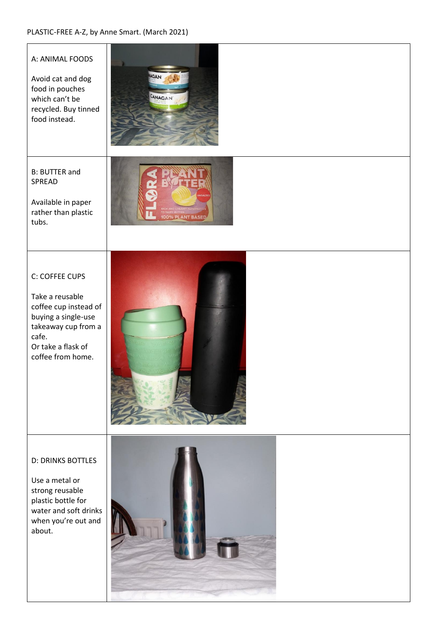#### PLASTIC-FREE A-Z, by Anne Smart. (March 2021)

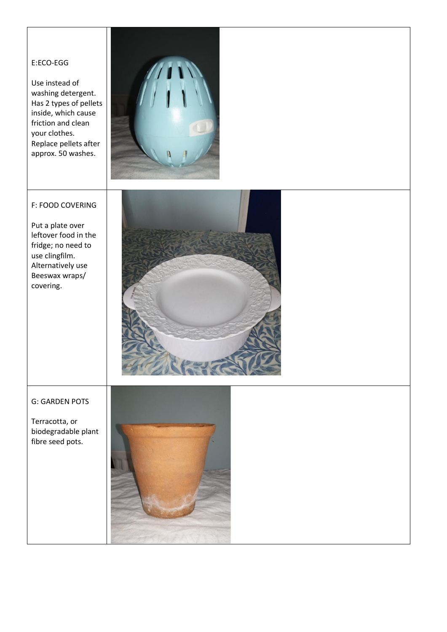# E:ECO-EGG

Use instead of washing detergent. Has 2 types of pellets inside, which cause friction and clean your clothes. Replace pellets after approx. 50 washes.



### F: FOOD COVERING

Put a plate over leftover food in the fridge; no need to use clingfilm. Alternatively use Beeswax wraps/ covering.



#### G: GARDEN POTS

Terracotta, or biodegradable plant fibre seed pots.

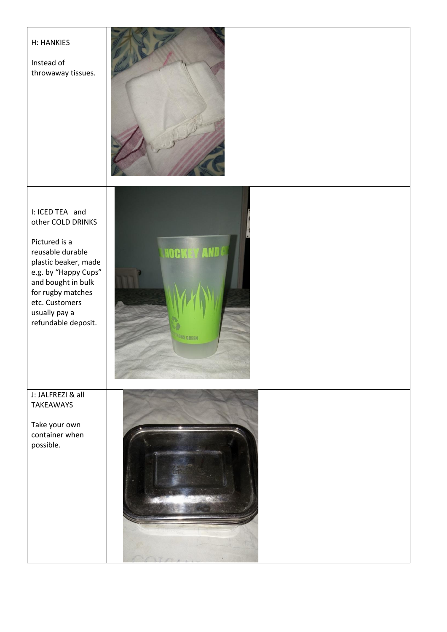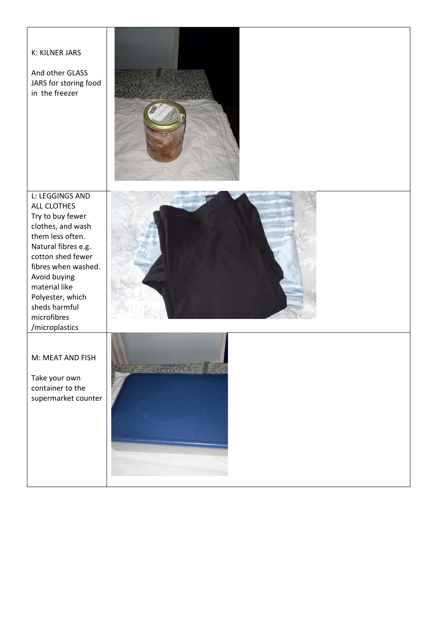# K: KILNER JARS

And other GLASS JARS for storing food in the freezer



L: LEGGINGS AND ALL CLOTHES Try to buy fewer clothes, and wash them less often. Natural fibres e.g. cotton shed fewer fibres when washed. Avoid buying material like Polyester, which sheds harmful microfibres /microplastics



### M: MEAT AND FISH

Take your own container to the supermarket counter

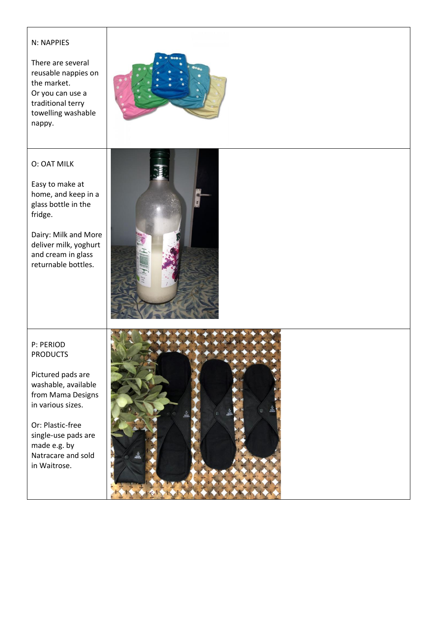#### N: NAPPIES

There are several reusable nappies on the market. Or you can use a traditional terry towelling washable nappy.



# O: OAT MILK

Easy to make at home, and keep in a glass bottle in the fridge.

Dairy: Milk and More deliver milk, yoghurt and cream in glass returnable bottles.



## P: PERIOD PRODUCTS

Pictured pads are washable, available from Mama Designs in various sizes.

Or: Plastic-free single-use pads are made e.g. by Natracare and sold in Waitrose.

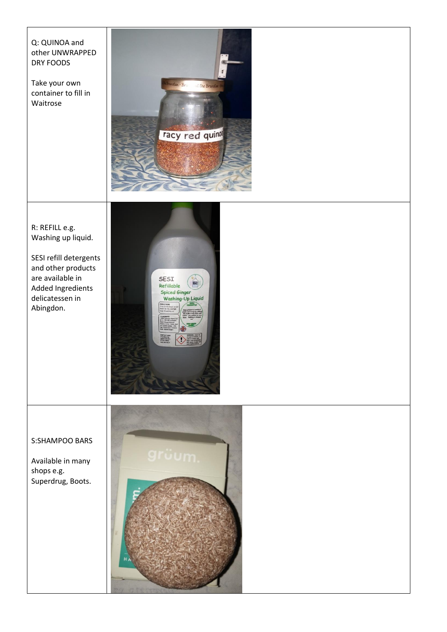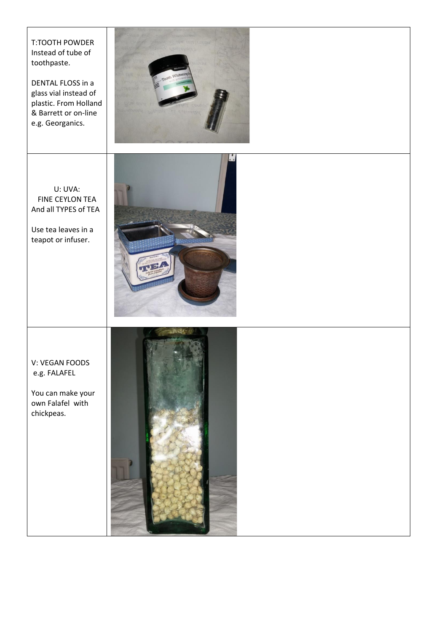T:TOOTH POWDER Instead of tube of toothpaste.

DENTAL FLOSS in a glass vial instead of plastic. From Holland & Barrett or on-line e.g. Georganics.



U: UVA: FINE CEYLON TEA And all TYPES of TEA

Use tea leaves in a teapot or infuser.



## V: VEGAN FOODS e.g. FALAFEL

You can make your own Falafel with chickpeas.